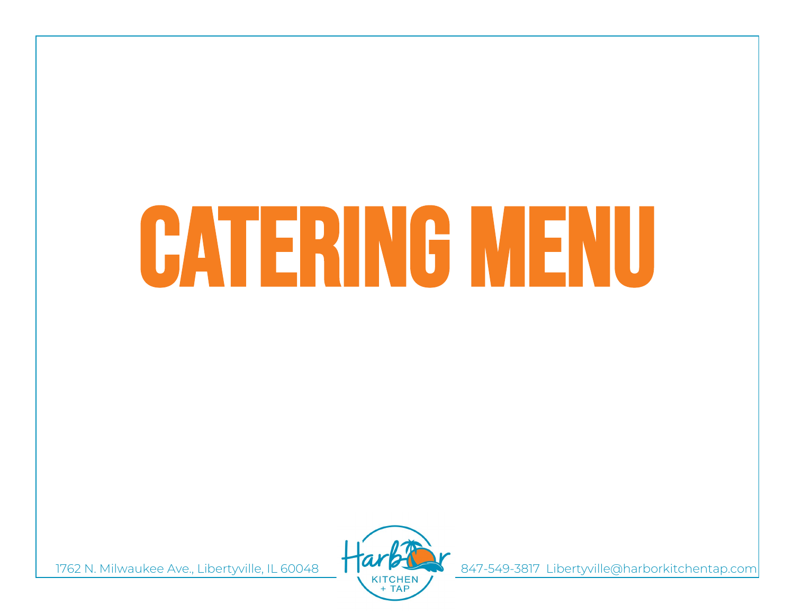# CATERING MENU



1762 N. Milwaukee Ave., Libertyville, IL 60048 (KITCHEN ) 847-549-3817 Libertyville@harborkitchentap.com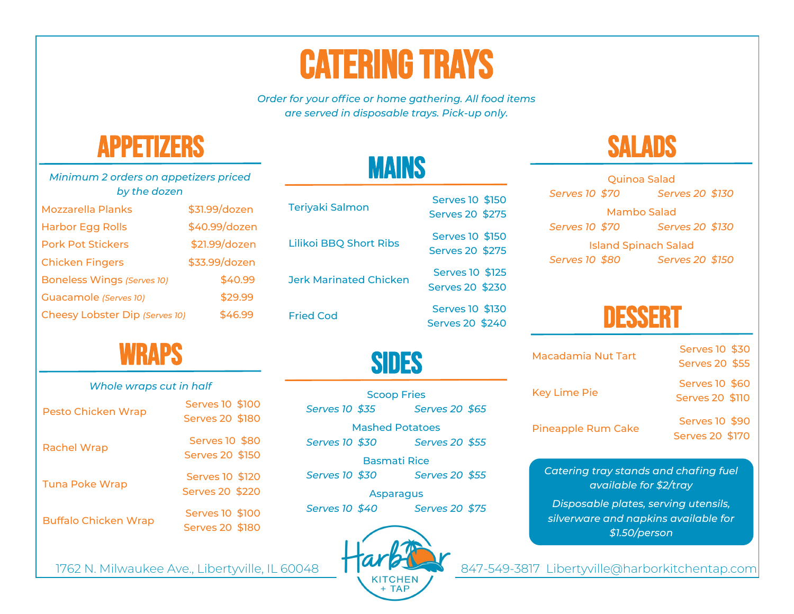# **CATERING TRAYS**

*Order for your office or home gathering. All food items are served in disposable trays. Pick-up only.* 

**MAINS** 



| Minimum 2 orders on appetizers priced<br>by the dozen |               |  |
|-------------------------------------------------------|---------------|--|
| Mozzarella Planks                                     | \$31.99/dozen |  |
| <b>Harbor Egg Rolls</b>                               | \$40.99/dozen |  |
| <b>Pork Pot Stickers</b>                              | \$21.99/dozen |  |
| <b>Chicken Fingers</b>                                | \$33.99/dozen |  |
| Boneless Wings (Serves 10)                            | \$40.99       |  |
| Guacamole (Serves 10)                                 | \$29.99       |  |
| Cheesy Lobster Dip (Serves 10)                        | \$46.99       |  |



| Whole wraps cut in half |  |  |
|-------------------------|--|--|
|                         |  |  |

| Pesto Chicken Wrap          | Serves 10 \$100<br>Serves 20 \$180 |
|-----------------------------|------------------------------------|
| <b>Rachel Wrap</b>          | Serves 10 \$80<br>Serves 20 \$150  |
| <b>Tuna Poke Wrap</b>       | Serves 10 \$120<br>Serves 20 \$220 |
| <b>Buffalo Chicken Wrap</b> | Serves 10 \$100<br>Serves 20 \$180 |

| <b>Teriyaki Salmon</b>        | Serves 10 \$150<br>Serves 20 \$275 |
|-------------------------------|------------------------------------|
| <b>Lilikoi BBQ Short Ribs</b> | Serves 10 \$150<br>Serves 20 \$275 |
| <b>Jerk Marinated Chicken</b> | Serves 10 \$125<br>Serves 20 \$230 |
| <b>Fried Cod</b>              | Serves 10 \$130<br>Serves 20 \$240 |

| <b>Scoop Fries</b>     |  |                |  |
|------------------------|--|----------------|--|
| Serves 10 \$35         |  | Serves 20 \$65 |  |
| <b>Mashed Potatoes</b> |  |                |  |
| Serves 10 \$30         |  | Serves 20 \$55 |  |
| <b>Basmati Rice</b>    |  |                |  |
| Serves 10 \$30         |  | Serves 20 \$55 |  |

Asparagus *Serves 10 \$40 Serves 20 \$75*



## **SALADS**

| Quinoa Salad                |                 |  |
|-----------------------------|-----------------|--|
| Serves 10 \$70              | Serves 20 \$130 |  |
| Mambo Salad                 |                 |  |
| Serves 10 \$70              | Serves 20 \$130 |  |
| <b>Island Spinach Salad</b> |                 |  |

*Serves 10 \$80 Serves 20 \$150*

**DESSERT** 

| <b>Macadamia Nut Tart</b> | Serves 10 \$30  |
|---------------------------|-----------------|
|                           | Serves 20 \$55  |
| Key Lime Pie              | Serves 10 \$60  |
|                           | Serves 20 \$110 |
| <b>Pineapple Rum Cake</b> | Serves 10 \$90  |
|                           | Serves 20 \$170 |

*Catering tray stands and chafing fuel available for \$2/tray*

*Disposable plates, serving utensils, silverware and napkins available for \$1.50/person*

1762 N. Milwaukee Ave., Libertyville, IL 60048 KITCHEN 847-549-3817 Libertyville@harborkitchentap.com